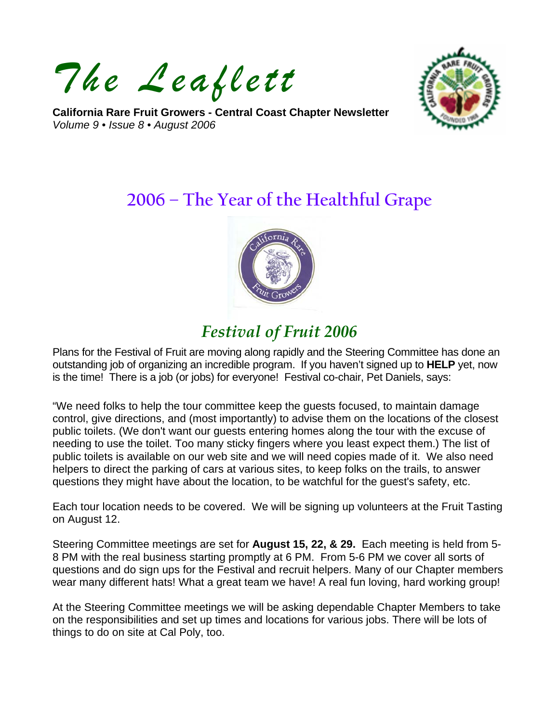*The Leaflett*

**California Rare Fruit Growers - Central Coast Chapter Newsletter**  *Volume 9 • Issue 8 • August 2006* 



# **2006 – The Year of the Healthful Grape**



# *Festival of Fruit 2006*

Plans for the Festival of Fruit are moving along rapidly and the Steering Committee has done an outstanding job of organizing an incredible program. If you haven't signed up to **HELP** yet, now is the time! There is a job (or jobs) for everyone! Festival co-chair, Pet Daniels, says:

"We need folks to help the tour committee keep the guests focused, to maintain damage control, give directions, and (most importantly) to advise them on the locations of the closest public toilets. (We don't want our guests entering homes along the tour with the excuse of needing to use the toilet. Too many sticky fingers where you least expect them.) The list of public toilets is available on our web site and we will need copies made of it. We also need helpers to direct the parking of cars at various sites, to keep folks on the trails, to answer questions they might have about the location, to be watchful for the guest's safety, etc.

Each tour location needs to be covered. We will be signing up volunteers at the Fruit Tasting on August 12.

Steering Committee meetings are set for **August 15, 22, & 29.** Each meeting is held from 5- 8 PM with the real business starting promptly at 6 PM. From 5-6 PM we cover all sorts of questions and do sign ups for the Festival and recruit helpers. Many of our Chapter members wear many different hats! What a great team we have! A real fun loving, hard working group!

At the Steering Committee meetings we will be asking dependable Chapter Members to take on the responsibilities and set up times and locations for various jobs. There will be lots of things to do on site at Cal Poly, too.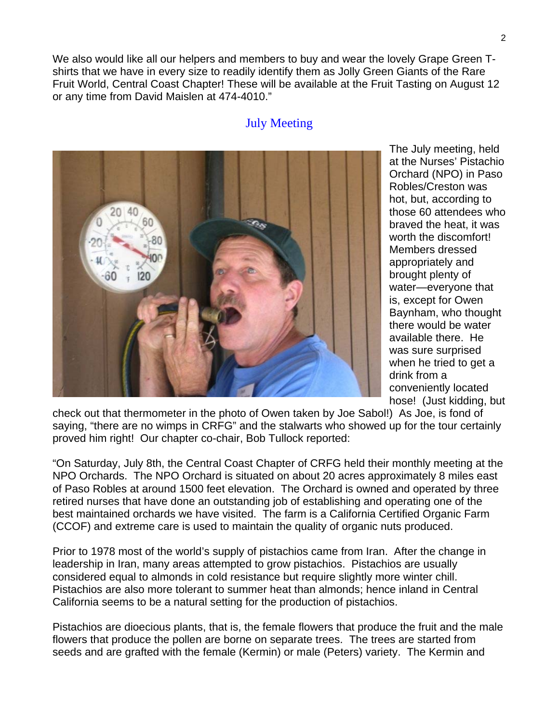We also would like all our helpers and members to buy and wear the lovely Grape Green Tshirts that we have in every size to readily identify them as Jolly Green Giants of the Rare Fruit World, Central Coast Chapter! These will be available at the Fruit Tasting on August 12 or any time from David Maislen at 474-4010."

#### July Meeting



The July meeting, held at the Nurses' Pistachio Orchard (NPO) in Paso Robles/Creston was hot, but, according to those 60 attendees who braved the heat, it was worth the discomfort! Members dressed appropriately and brought plenty of water—everyone that is, except for Owen Baynham, who thought there would be water available there. He was sure surprised when he tried to get a drink from a conveniently located hose! (Just kidding, but

check out that thermometer in the photo of Owen taken by Joe Sabol!) As Joe, is fond of saying, "there are no wimps in CRFG" and the stalwarts who showed up for the tour certainly proved him right! Our chapter co-chair, Bob Tullock reported:

"On Saturday, July 8th, the Central Coast Chapter of CRFG held their monthly meeting at the NPO Orchards. The NPO Orchard is situated on about 20 acres approximately 8 miles east of Paso Robles at around 1500 feet elevation. The Orchard is owned and operated by three retired nurses that have done an outstanding job of establishing and operating one of the best maintained orchards we have visited. The farm is a California Certified Organic Farm (CCOF) and extreme care is used to maintain the quality of organic nuts produced.

Prior to 1978 most of the world's supply of pistachios came from Iran. After the change in leadership in Iran, many areas attempted to grow pistachios. Pistachios are usually considered equal to almonds in cold resistance but require slightly more winter chill. Pistachios are also more tolerant to summer heat than almonds; hence inland in Central California seems to be a natural setting for the production of pistachios.

Pistachios are dioecious plants, that is, the female flowers that produce the fruit and the male flowers that produce the pollen are borne on separate trees. The trees are started from seeds and are grafted with the female (Kermin) or male (Peters) variety. The Kermin and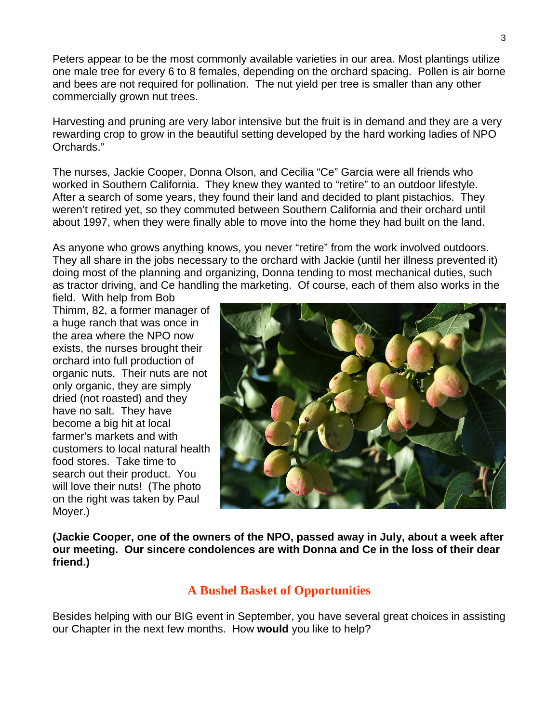Peters appear to be the most commonly available varieties in our area. Most plantings utilize one male tree for every 6 to 8 females, depending on the orchard spacing. Pollen is air borne and bees are not required for pollination. The nut yield per tree is smaller than any other commercially grown nut trees.

Harvesting and pruning are very labor intensive but the fruit is in demand and they are a very rewarding crop to grow in the beautiful setting developed by the hard working ladies of NPO Orchards."

The nurses, Jackie Cooper, Donna Olson, and Cecilia "Ce" Garcia were all friends who worked in Southern California. They knew they wanted to "retire" to an outdoor lifestyle. After a search of some years, they found their land and decided to plant pistachios. They weren't retired yet, so they commuted between Southern California and their orchard until about 1997, when they were finally able to move into the home they had built on the land.

As anyone who grows anything knows, you never "retire" from the work involved outdoors. They all share in the jobs necessary to the orchard with Jackie (until her illness prevented it) doing most of the planning and organizing, Donna tending to most mechanical duties, such as tractor driving, and Ce handling the marketing. Of course, each of them also works in the field. With help from Bob

Thimm, 82, a former manager of a huge ranch that was once in the area where the NPO now exists, the nurses brought their orchard into full production of organic nuts. Their nuts are not only organic, they are simply dried (not roasted) and they have no salt. They have become a big hit at local farmer's markets and with customers to local natural health food stores. Take time to search out their product. You will love their nuts! (The photo on the right was taken by Paul Moyer.)



**(Jackie Cooper, one of the owners of the NPO, passed away in July, about a week after our meeting. Our sincere condolences are with Donna and Ce in the loss of their dear friend.)**

# **A Bushel Basket of Opportunities**

Besides helping with our BIG event in September, you have several great choices in assisting our Chapter in the next few months. How **would** you like to help?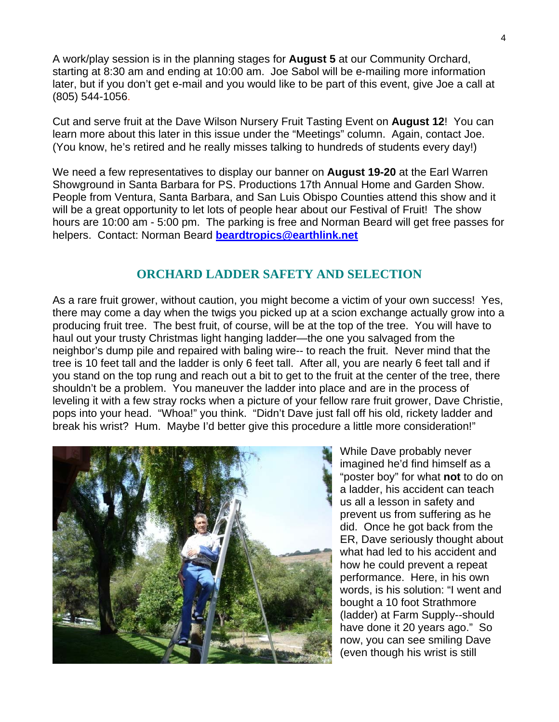A work/play session is in the planning stages for **August 5** at our Community Orchard, starting at 8:30 am and ending at 10:00 am. Joe Sabol will be e-mailing more information later, but if you don't get e-mail and you would like to be part of this event, give Joe a call at (805) 544-1056.

Cut and serve fruit at the Dave Wilson Nursery Fruit Tasting Event on **August 12**! You can learn more about this later in this issue under the "Meetings" column. Again, contact Joe. (You know, he's retired and he really misses talking to hundreds of students every day!)

We need a few representatives to display our banner on **August 19-20** at the Earl Warren Showground in Santa Barbara for PS. Productions 17th Annual Home and Garden Show. People from Ventura, Santa Barbara, and San Luis Obispo Counties attend this show and it will be a great opportunity to let lots of people hear about our Festival of Fruit! The show hours are 10:00 am - 5:00 pm. The parking is free and Norman Beard will get free passes for helpers. Contact: Norman Beard **[beardtropics@earthlink.net](mailto:beardtropics@earthlink.net)**

# **ORCHARD LADDER SAFETY AND SELECTION**

As a rare fruit grower, without caution, you might become a victim of your own success! Yes, there may come a day when the twigs you picked up at a scion exchange actually grow into a producing fruit tree. The best fruit, of course, will be at the top of the tree. You will have to haul out your trusty Christmas light hanging ladder—the one you salvaged from the neighbor's dump pile and repaired with baling wire-- to reach the fruit. Never mind that the tree is 10 feet tall and the ladder is only 6 feet tall. After all, you are nearly 6 feet tall and if you stand on the top rung and reach out a bit to get to the fruit at the center of the tree, there shouldn't be a problem. You maneuver the ladder into place and are in the process of leveling it with a few stray rocks when a picture of your fellow rare fruit grower, Dave Christie, pops into your head. "Whoa!" you think. "Didn't Dave just fall off his old, rickety ladder and break his wrist? Hum. Maybe I'd better give this procedure a little more consideration!"



While Dave probably never imagined he'd find himself as a "poster boy" for what **not** to do on a ladder, his accident can teach us all a lesson in safety and prevent us from suffering as he did. Once he got back from the ER, Dave seriously thought about what had led to his accident and how he could prevent a repeat performance. Here, in his own words, is his solution: "I went and bought a 10 foot Strathmore (ladder) at Farm Supply--should have done it 20 years ago." So now, you can see smiling Dave (even though his wrist is still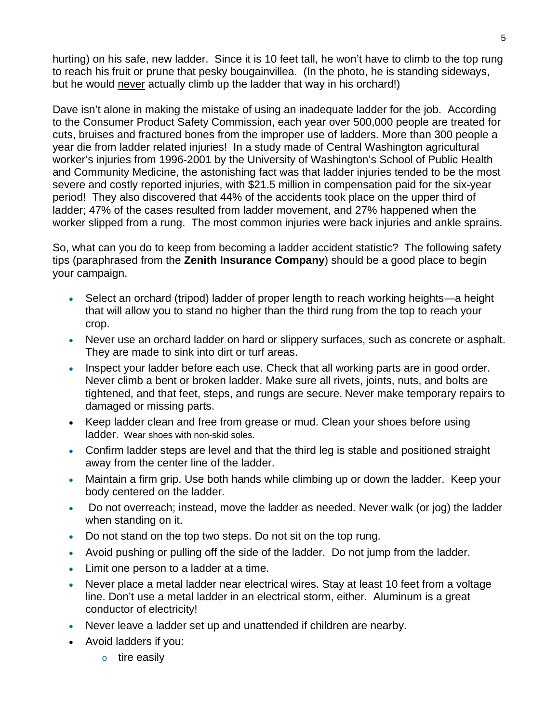hurting) on his safe, new ladder. Since it is 10 feet tall, he won't have to climb to the top rung to reach his fruit or prune that pesky bougainvillea. (In the photo, he is standing sideways, but he would never actually climb up the ladder that way in his orchard!)

Dave isn't alone in making the mistake of using an inadequate ladder for the job. According to the Consumer Product Safety Commission, each year over 500,000 people are treated for cuts, bruises and fractured bones from the improper use of ladders. More than 300 people a year die from ladder related injuries! In a study made of Central Washington agricultural worker's injuries from 1996-2001 by the University of Washington's School of Public Health and Community Medicine, the astonishing fact was that ladder injuries tended to be the most severe and costly reported injuries, with \$21.5 million in compensation paid for the six-year period! They also discovered that 44% of the accidents took place on the upper third of ladder; 47% of the cases resulted from ladder movement, and 27% happened when the worker slipped from a rung. The most common injuries were back injuries and ankle sprains.

So, what can you do to keep from becoming a ladder accident statistic? The following safety tips (paraphrased from the **Zenith Insurance Company**) should be a good place to begin your campaign.

- Select an orchard (tripod) ladder of proper length to reach working heights—a height that will allow you to stand no higher than the third rung from the top to reach your crop.
- Never use an orchard ladder on hard or slippery surfaces, such as concrete or asphalt. They are made to sink into dirt or turf areas.
- Inspect your ladder before each use. Check that all working parts are in good order. Never climb a bent or broken ladder. Make sure all rivets, joints, nuts, and bolts are tightened, and that feet, steps, and rungs are secure. Never make temporary repairs to damaged or missing parts.
- Keep ladder clean and free from grease or mud. Clean your shoes before using ladder. Wear shoes with non-skid soles.
- Confirm ladder steps are level and that the third leg is stable and positioned straight away from the center line of the ladder.
- Maintain a firm grip. Use both hands while climbing up or down the ladder. Keep your body centered on the ladder.
- Do not overreach; instead, move the ladder as needed. Never walk (or jog) the ladder when standing on it.
- Do not stand on the top two steps. Do not sit on the top rung.
- Avoid pushing or pulling off the side of the ladder. Do not jump from the ladder.
- Limit one person to a ladder at a time.
- Never place a metal ladder near electrical wires. Stay at least 10 feet from a voltage line. Don't use a metal ladder in an electrical storm, either. Aluminum is a great conductor of electricity!
- Never leave a ladder set up and unattended if children are nearby.
- Avoid ladders if you:
	- o tire easily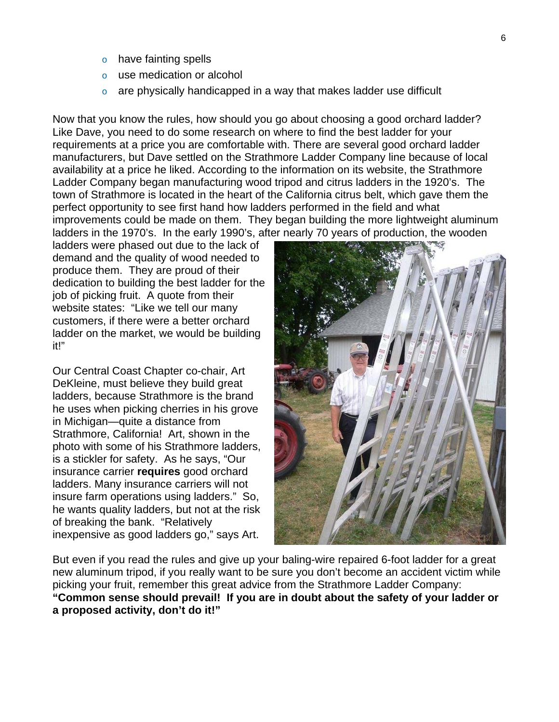- o have fainting spells
- o use medication or alcohol
- $\circ$  are physically handicapped in a way that makes ladder use difficult

Now that you know the rules, how should you go about choosing a good orchard ladder? Like Dave, you need to do some research on where to find the best ladder for your requirements at a price you are comfortable with. There are several good orchard ladder manufacturers, but Dave settled on the Strathmore Ladder Company line because of local availability at a price he liked. According to the information on its website, the Strathmore Ladder Company began manufacturing wood tripod and citrus ladders in the 1920's. The town of Strathmore is located in the heart of the California citrus belt, which gave them the perfect opportunity to see first hand how ladders performed in the field and what improvements could be made on them. They began building the more lightweight aluminum ladders in the 1970's. In the early 1990's, after nearly 70 years of production, the wooden

ladders were phased out due to the lack of demand and the quality of wood needed to produce them. They are proud of their dedication to building the best ladder for the job of picking fruit. A quote from their website states: "Like we tell our many customers, if there were a better orchard ladder on the market, we would be building it!"

Our Central Coast Chapter co-chair, Art DeKleine, must believe they build great ladders, because Strathmore is the brand he uses when picking cherries in his grove in Michigan—quite a distance from Strathmore, California! Art, shown in the photo with some of his Strathmore ladders, is a stickler for safety. As he says, "Our insurance carrier **requires** good orchard ladders. Many insurance carriers will not insure farm operations using ladders." So, he wants quality ladders, but not at the risk of breaking the bank. "Relatively inexpensive as good ladders go," says Art.



But even if you read the rules and give up your baling-wire repaired 6-foot ladder for a great new aluminum tripod, if you really want to be sure you don't become an accident victim while picking your fruit, remember this great advice from the Strathmore Ladder Company: **"Common sense should prevail! If you are in doubt about the safety of your ladder or a proposed activity, don't do it!"**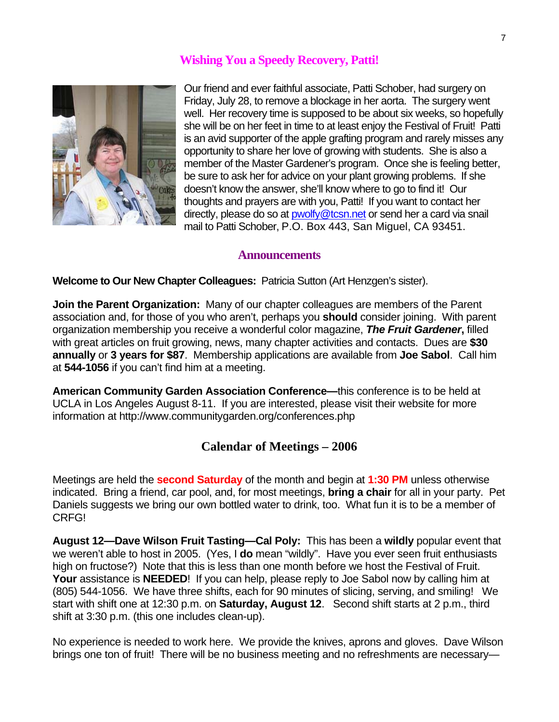### **Wishing You a Speedy Recovery, Patti!**



Our friend and ever faithful associate, Patti Schober, had surgery on Friday, July 28, to remove a blockage in her aorta. The surgery went well. Her recovery time is supposed to be about six weeks, so hopefully she will be on her feet in time to at least enjoy the Festival of Fruit! Patti is an avid supporter of the apple grafting program and rarely misses any opportunity to share her love of growing with students. She is also a member of the Master Gardener's program. Once she is feeling better, be sure to ask her for advice on your plant growing problems. If she doesn't know the answer, she'll know where to go to find it! Our thoughts and prayers are with you, Patti! If you want to contact her directly, please do so at [pwolfy@tcsn.net](mailto:pwolfy@tcsn.net) or send her a card via snail mail to Patti Schober, P.O. Box 443, San Miguel, CA 93451.

#### **Announcements**

**Welcome to Our New Chapter Colleagues:** Patricia Sutton (Art Henzgen's sister).

**Join the Parent Organization:** Many of our chapter colleagues are members of the Parent association and, for those of you who aren't, perhaps you **should** consider joining. With parent organization membership you receive a wonderful color magazine, *The Fruit Gardener***,** filled with great articles on fruit growing, news, many chapter activities and contacts. Dues are **\$30 annually** or **3 years for \$87**. Membership applications are available from **Joe Sabol**. Call him at **544-1056** if you can't find him at a meeting.

**American Community Garden Association Conference—**this conference is to be held at UCLA in Los Angeles August 8-11. If you are interested, please visit their website for more information at http://www.communitygarden.org/conferences.php

### **Calendar of Meetings – 2006**

Meetings are held the **second Saturday** of the month and begin at **1:30 PM** unless otherwise indicated. Bring a friend, car pool, and, for most meetings, **bring a chair** for all in your party. Pet Daniels suggests we bring our own bottled water to drink, too. What fun it is to be a member of CRFG!

**August 12—Dave Wilson Fruit Tasting—Cal Poly:** This has been a **wildly** popular event that we weren't able to host in 2005. (Yes, I **do** mean "wildly". Have you ever seen fruit enthusiasts high on fructose?) Note that this is less than one month before we host the Festival of Fruit. **Your** assistance is **NEEDED**! If you can help, please reply to Joe Sabol now by calling him at (805) 544-1056. We have three shifts, each for 90 minutes of slicing, serving, and smiling! We start with shift one at 12:30 p.m. on **Saturday, August 12**. Second shift starts at 2 p.m., third shift at 3:30 p.m. (this one includes clean-up).

No experience is needed to work here. We provide the knives, aprons and gloves. Dave Wilson brings one ton of fruit! There will be no business meeting and no refreshments are necessary